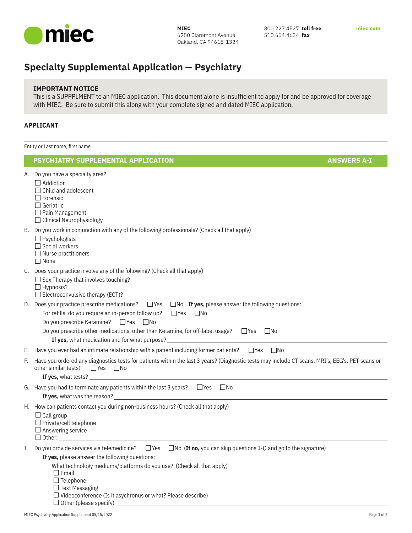

800.227.4527 toll free 510.654.4634 fax

# **Specialty Supplemental Application — Psychiatry**

## **IMPORTANT NOTICE**

This is a SUPPPLMENT to an MIEC application. This document alone is insufficient to apply for and be approved for coverage with MIEC. Be sure to submit this along with your complete signed and dated MIEC application.

### **APPLICANT**

Entity or Last name, first name

### **PSYCHIATRY SUPPLEMENTAL APPLICATION ANSWERS A-I**

|    | A. Do you have a specialty area?<br>$\Box$ Addiction<br>$\Box$ Child and adolescent<br>$\Box$ Forensic<br>$\Box$ Geriatric<br>$\Box$ Pain Management<br>$\Box$ Clinical Neurophysiology                                                                                                                                                                                                                                        |  |
|----|--------------------------------------------------------------------------------------------------------------------------------------------------------------------------------------------------------------------------------------------------------------------------------------------------------------------------------------------------------------------------------------------------------------------------------|--|
|    | B. Do you work in conjunction with any of the following professionals? (Check all that apply)<br>$\Box$ Psychologists<br>$\Box$ Social workers<br>$\Box$ Nurse practitioners<br>$\Box$ None                                                                                                                                                                                                                                    |  |
|    | C. Does your practice involve any of the following? (Check all that apply)<br>$\Box$ Sex Therapy that involves touching?<br>$\Box$ Hypnosis?<br>$\Box$ Electroconvulsive therapy (ECT)?                                                                                                                                                                                                                                        |  |
|    | D. Does your practice prescribe medications? $\Box$ Yes<br>$\Box$ No If yes, please answer the following questions:<br>For refills, do you require an in-person follow up?<br>$\Box$ Yes<br>$\square$ No<br>Do you prescribe Ketamine?<br>$\Box$ Yes<br>$\Box$ No<br>Do you prescribe other medications, other than Ketamine, for off-label usage? $\square$ Yes $\square$ No<br>If yes, what medication and for what purpose? |  |
|    | E. Have you ever had an intimate relationship with a patient including former patients?<br>$\Box$ Yes<br>$\square$ No                                                                                                                                                                                                                                                                                                          |  |
| F. | Have you ordered any diagnostics tests for patients within the last 3 years? (Diagnostic tests may include CT scans, MRI's, EEG's, PET scans or<br>other similar tests)<br>$\Box$ Yes<br>$\Box$ No                                                                                                                                                                                                                             |  |
|    | If yes, what tests? __                                                                                                                                                                                                                                                                                                                                                                                                         |  |
|    | G. Have you had to terminate any patients within the last 3 years? $\square$ Yes $\square$ No                                                                                                                                                                                                                                                                                                                                  |  |
|    | H. How can patients contact you during non-business hours? (Check all that apply)<br>$\Box$ Call group<br>$\Box$ Private/cell telephone<br>$\Box$ Answering service<br>$\Box$ Other:                                                                                                                                                                                                                                           |  |
| I. | Do you provide services via telemedicine? $\square$ Yes $\square$ No (If no, you can skip questions J-Q and go to the signature)<br>If yes, please answer the following questions:<br>What technology mediums/platforms do you use? (Check all that apply)<br>$\Box$ Email<br>$\Box$ Telephone<br>$\Box$ Text Messaging<br>$\Box$ Other (please specify)                                                                       |  |